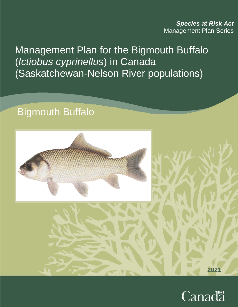*Species at Risk Act* Management Plan Series

Management Plan for the Bigmouth Buffalo (*Ictiobus cyprinellus*) in Canada (Saskatchewan-Nelson River populations)

# Bigmouth Buffalo



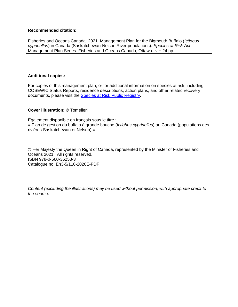#### **Recommended citation:**

Fisheries and Oceans Canada. 2021. Management Plan for the Bigmouth Buffalo (*Ictiobus cyprinellus*) in Canada (Saskatchewan-Nelson River populations). *Species at Risk Act* Management Plan Series. Fisheries and Oceans Canada, Ottawa. iv + 24 pp.

#### **Additional copies:**

For copies of this management plan, or for additional information on species at risk, including COSEWIC Status Reports, residence descriptions, action plans, and other related recovery documents, please visit the [Species at Risk](https://www.canada.ca/en/environment-climate-change/services/species-risk-public-registry.html) Public Registry.

#### **Cover illustration:** © Tomelleri

Également disponible en français sous le titre : « Plan de gestion du buffalo à grande bouche (*Ictiobus cyprinellus*) au Canada (populations des rivières Saskatchewan et Nelson) »

© Her Majesty the Queen in Right of Canada, represented by the Minister of Fisheries and Oceans 2021. All rights reserved. ISBN 978-0-660-36253-3 Catalogue no. En3-5/110-2020E-PDF

*Content (excluding the illustrations) may be used without permission, with appropriate credit to the source.*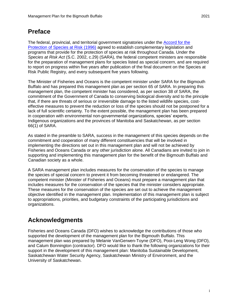## <span id="page-2-0"></span>**Preface**

The federal, provincial, and territorial government signatories under the [Accord for the](https://www.canada.ca/en/environment-climate-change/services/species-risk-act-accord-funding/protection-federal-provincial-territorial-accord.html)  [Protection of Species at Risk \(1996\)](https://www.canada.ca/en/environment-climate-change/services/species-risk-act-accord-funding/protection-federal-provincial-territorial-accord.html) agreed to establish complementary legislation and programs that provide for the protection of species at risk throughout Canada. Under the *Species at Risk Act* (S.C. 2002, c.29) (SARA), the federal competent ministers are responsible for the preparation of management plans for species listed as special concern, and are required to report on progress within five years after publication of the final document on the Species at Risk Public Registry, and every subsequent five years following.

The Minister of Fisheries and Oceans is the competent minister under SARA for the Bigmouth Buffalo and has prepared this management plan as per section 65 of SARA. In preparing this management plan, the competent minister has considered, as per section 38 of SARA, the commitment of the Government of Canada to conserving biological diversity and to the principle that, if there are threats of serious or irreversible damage to the listed wildlife species, costeffective measures to prevent the reduction or loss of the species should not be postponed for a lack of full scientific certainty. To the extent possible, the management plan has been prepared in cooperation with environmental non-governmental organizations, species' experts, Indigenous organizations and the provinces of Manitoba and Saskatchewan, as per section 66(1) of SARA.

As stated in the preamble to SARA, success in the management of this species depends on the commitment and cooperation of many different constituencies that will be involved in implementing the directions set out in this management plan and will not be achieved by Fisheries and Oceans Canada or any other jurisdiction alone. All Canadians are invited to join in supporting and implementing this management plan for the benefit of the Bigmouth Buffalo and Canadian society as a whole.

A SARA management plan includes measures for the conservation of the species to manage the species of special concern to prevent it from becoming threatened or endangered. The competent minister (Minister of Fisheries and Oceans) must prepare a management plan that includes measures for the conservation of the species that the minister considers appropriate. These measures for the conservation of the species are set out to achieve the management objective identified in the management plan. Implementation of this management plan is subject to appropriations, priorities, and budgetary constraints of the participating jurisdictions and organizations.

# <span id="page-2-1"></span>**Acknowledgments**

Fisheries and Oceans Canada (DFO) wishes to acknowledge the contributions of those who supported the development of the management plan for the Bigmouth Buffalo. This management plan was prepared by Melanie VanGerwen-Toyne (DFO), Pooi-Leng Wong (DFO), and Calum Bonnington (contractor). DFO would like to thank the following organizations for their support in the development of this management plan: Manitoba Sustainable Development, Saskatchewan Water Security Agency, Saskatchewan Ministry of Environment, and the University of Saskatchewan.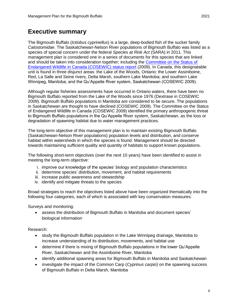## <span id="page-3-0"></span>**Executive summary**

The Bigmouth Buffalo (*Ictiobus cyprinellus*) is a large, deep-bodied fish of the sucker family *Catostomidae*. The Saskatchewan-Nelson River populations of Bigmouth Buffalo was listed as a species of special concern under the federal *Species at Risk Act* (SARA) in 2011. This management plan is considered one in a series of documents for this species that are linked and should be taken into consideration together; including the [Committee on the Status of](https://sararegistry.gc.ca/virtual_sara/files/cosewic/sr_bigmouth_buffalo_0809_e.pdf)  [Endangered Wildlife in Canada \(COSEWIC\) status report](https://sararegistry.gc.ca/virtual_sara/files/cosewic/sr_bigmouth_buffalo_0809_e.pdf) (2009). In Canada, this designatable unit is found in three disjunct areas: the Lake of the Woods, Ontario; the Lower Assiniboine, Red, La Salle and Seine rivers, Delta Marsh, southern Lake Manitoba; and southern Lake Winnipeg, Manitoba; and the Qu'Appelle River system, Saskatchewan (COSEWIC 2009).

Although regular fisheries assessments have occurred in Ontario waters, there have been no Bigmouth Buffalo reported from the Lake of the Woods since 1976 (Dextrase in COSEWIC 2009). Bigmouth Buffalo populations in Manitoba are considered to be secure. The populations in Saskatchewan are thought to have declined (COSEWIC 2009). The Committee on the Status of Endangered Wildlife in Canada (COSEWIC 2009) identified the primary anthropogenic threat to Bigmouth Buffalo populations in the Qu'Appelle River system, Saskatchewan, as the loss or degradation of spawning habitat due to water management practices.

The long-term objective of this management plan is to maintain existing Bigmouth Buffalo (Saskatchewan-Nelson River populations) population levels and distribution, and conserve habitat within watersheds in which the species is found. Management should be directed towards maintaining sufficient quality and quantity of habitats to support known populations.

The following short-term objectives (over the next 10 years) have been identified to assist in meeting the long-term objective:

- i. improve our knowledge of the species' biology and population characteristics
- ii. determine species' distribution, movement, and habitat requirements
- iii. increase public awareness and stewardship
- iv. identify and mitigate threats to the species

Broad strategies to reach the objectives listed above have been organized thematically into the following four categories, each of which is associated with key conservation measures:

Surveys and monitoring:

 assess the distribution of Bigmouth Buffalo in Manitoba and document species' biological information

Research:

- study the Bigmouth Buffalo population in the Lake Winnipeg drainage, Manitoba to increase understanding of its distribution, movements, and habitat use
- determine if there is mixing of Bigmouth Buffalo populations in the lower Qu'Appelle River, Saskatchewan and the Assiniboine River, Manitoba
- identify additional spawning areas for Bigmouth Buffalo in Manitoba and Saskatchewan
- investigate the impact of the Common Carp (*Cyprinus carpio*) on the spawning success of Bigmouth Buffalo in Delta Marsh, Manitoba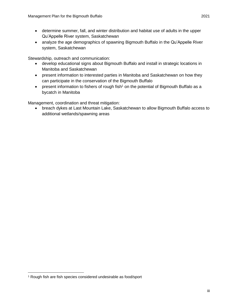- determine summer, fall, and winter distribution and habitat use of adults in the upper Qu'Appelle River system, Saskatchewan
- analyze the age demographics of spawning Bigmouth Buffalo in the Qu'Appelle River system, Saskatchewan

Stewardship, outreach and communication:

- develop educational signs about Bigmouth Buffalo and install in strategic locations in Manitoba and Saskatchewan
- present information to interested parties in Manitoba and Saskatchewan on how they can participate in the conservation of the Bigmouth Buffalo
- present information to fishers of rough fish<sup>1</sup> on the potential of Bigmouth Buffalo as a bycatch in Manitoba

Management, coordination and threat mitigation:

 breach dykes at Last Mountain Lake, Saskatchewan to allow Bigmouth Buffalo access to additional wetlands/spawning areas

 $\overline{a}$ 

<sup>1</sup> Rough fish are fish species considered undesirable as food/sport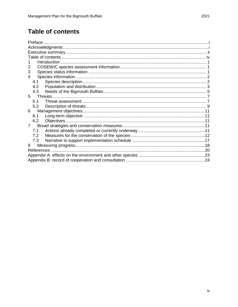# <span id="page-5-0"></span>**Table of contents**

| 2           |  |
|-------------|--|
| 3           |  |
| 4           |  |
| 4.1         |  |
| 4.2         |  |
| 4.3         |  |
| 5.          |  |
| 5.1         |  |
| 5.2         |  |
| 6           |  |
| 6.1         |  |
| 6.2         |  |
| $7^{\circ}$ |  |
| 7.1         |  |
| 7.2         |  |
| 7.3         |  |
| 8           |  |
|             |  |
|             |  |
|             |  |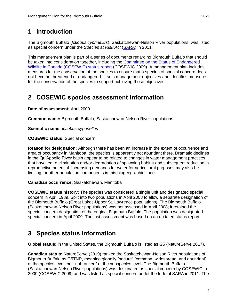# <span id="page-6-0"></span>**1 Introduction**

The Bigmouth Buffalo (*Ictiobus cyprinellus*), Saskatchewan-Nelson River populations, was listed as special concern under the *Species at Risk Act* [\(SARA\)](https://laws-lois.justice.gc.ca/eng/acts/s-15.3/) in 2011.

This management plan is part of a series of documents regarding Bigmouth Buffalo that should be taken into consideration together, including the [Committee on the Status of Endangered](http://publications.gc.ca/collections/collection_2009/ec/CW69-14-577-2009E.pdf)  [Wildlife in Canada \(COSEWIC\) status report](http://publications.gc.ca/collections/collection_2009/ec/CW69-14-577-2009E.pdf) (COSEWIC 2009). A management plan includes measures for the conservation of the species to ensure that a species of special concern does not become threatened or endangered. It sets management objectives and identifies measures for the conservation of the species to support achieving those objectives.

# <span id="page-6-1"></span>**2 COSEWIC species assessment information**

**Date of assessment:** April 2009

**Common name:** Bigmouth Buffalo, Saskatchewan-Nelson River populations

**Scientific name:** *Ictiobus cyprinellus*

**COSEWIC status:** Special concern

**Reason for designation:** Although there has been an increase in the extent of occurrence and area of occupancy in Manitoba, the species is apparently not abundant there. Dramatic declines in the Qu'Appelle River basin appear to be related to changes in water management practices that have led to elimination and/or degradation of spawning habitat and subsequent reduction in reproductive potential. Increasing demands for water for agricultural purposes may also be limiting for other population components in this biogeographic zone.

**Canadian occurrence:** Saskatchewan, Manitoba

**COSEWIC status history:** The species was considered a single unit and designated special concern in April 1989. Split into two populations in April 2008 to allow a separate designation of the Bigmouth Buffalo (Great Lakes-Upper St. Lawrence populations). The Bigmouth Buffalo (Saskatchewan-Nelson River populations) was not assessed in April 2008; it retained the special concern designation of the original Bigmouth Buffalo. The population was designated special concern in April 2009. The last assessment was based on an updated status report.

### <span id="page-6-2"></span>**3 Species status information**

**Global status:** in the United States, the Bigmouth Buffalo is listed as G5 (NatureServe 2017).

**Canadian status:** NatureServe (2019) ranked the Saskatchewan-Nelson River populations of Bigmouth Buffalo as G5TNR, meaning globally "secure" (common, widespread, and abundant) at the species level, but "not ranked" at the subspecies level. The Bigmouth Buffalo (Saskatchewan-Nelson River populations) was designated as special concern by COSEWIC in 2009 (COSEWIC 2009) and was listed as special concern under the federal SARA in 2011. The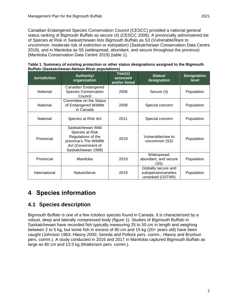Canadian Endangered Species Conservation Council (CESCC) provided a national general status ranking of Bigmouth Buffalo as secure (4) (CESCC 2006). A provincially administered list of Species at Risk in Saskatchewan lists Bigmouth Buffalo as S3 (Vulnerable/Rare to uncommon: moderate risk of extinction or extirpation) (Saskatchewan Conservation Data Centre 2019), and in Manitoba as S5 (widespread, abundant, and secure throughout the province) (Manitoba Conservation Data Centre 2019) (table 1).

| <b>Jurisdiction</b> | <b>Authority/</b><br>organization                                                                                                 | Year(s)<br>assessed<br>and/or listed | Status/<br>designation                                          | <b>Designation</b><br><b>level</b> |
|---------------------|-----------------------------------------------------------------------------------------------------------------------------------|--------------------------------------|-----------------------------------------------------------------|------------------------------------|
| National            | Canadian Endangered<br><b>Species Conservation</b><br>Council                                                                     | 2006                                 | Secure (4)                                                      | Population                         |
| National            | Committee on the Status<br>of Endangered Wildlife<br>in Canada                                                                    | 2009                                 | Special concern                                                 | Population                         |
| National            | Species at Risk Act                                                                                                               | 2011                                 | Special concern                                                 | Population                         |
| Provincial          | Saskatchewan Wild<br>Species at Risk<br>Regulations of the<br>province's The Wildlife<br>Act (Government of<br>Saskatchewan 1998) | 2019                                 | Vulnerable/rare to<br>uncommon (S3)                             | Population                         |
| Provincial          | Manitoba                                                                                                                          | 2019                                 | Widespread,<br>abundant, and secure<br>'S5)                     | Population                         |
| International       | NatureServe                                                                                                                       | 2019                                 | Globally secure and<br>subspecies/varieties<br>unranked (G5TNR) | Population                         |

| Table 1. Summary of existing protection or other status designations assigned to the Bigmouth |  |  |
|-----------------------------------------------------------------------------------------------|--|--|
| <b>Buffalo (Saskatchewan-Nelson River populations)</b>                                        |  |  |

# <span id="page-7-0"></span>**4 Species information**

### <span id="page-7-1"></span>**4.1 Species description**

Bigmouth Buffalo is one of a few *Ictiobus* species found in Canada. It is characterized by a robust, deep and laterally compressed body (figure 1). Studies of Bigmouth Buffalo in Saskatchewan have recorded fish typically measuring 25 to 50 cm in length and weighing between 2 to 5 kg, but some fish in excess of 80 cm and 15 kg (20+ years old) have been caught (Johnson 1963; Hlasny 2000; Sereda and Pollock pers. comm.; Hlasny and Bryshun pers. comm.). A study conducted in 2016 and 2017 in Manitoba captured Bigmouth Buffalo as large as 80 cm and 13.5 kg (Watkinson pers. comm.).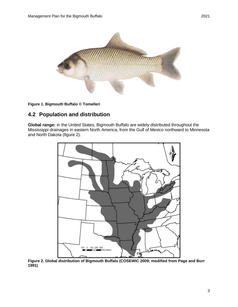

#### **Figure 1. Bigmouth Buffalo © Tomelleri**

### <span id="page-8-0"></span>**4.2 Population and distribution**

**Global range:** in the United States, Bigmouth Buffalo are widely distributed throughout the Mississippi drainages in eastern North America, from the Gulf of Mexico northward to Minnesota and North Dakota (figure 2).



**Figure 2. Global distribution of Bigmouth Buffalo (COSEWIC 2009; modified from Page and Burr 1991)**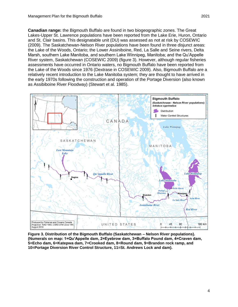**Canadian range:** the Bigmouth Buffalo are found in two biogeographic zones. The Great Lakes-Upper St. Lawrence populations have been reported from the Lake Erie, Huron, Ontario and St. Clair basins. This designatable unit (DU) was assessed as not at risk by COSEWIC (2009). The Saskatchewan-Nelson River populations have been found in three disjunct areas: the Lake of the Woods, Ontario; the Lower Assiniboine, Red, La Salle and Seine rivers, Delta Marsh, southern Lake Manitoba, and southern Lake Winnipeg, Manitoba; and the Qu'Appelle River system, Saskatchewan (COSEWIC 2009) (figure 3). However, although regular fisheries assessments have occurred in Ontario waters, no Bigmouth Buffalo have been reported from the Lake of the Woods since 1976 (Dextrase in COSEWIC 2009). Also, Bigmouth Buffalo are a relatively recent introduction to the Lake Manitoba system; they are thought to have arrived in the early 1970s following the construction and operation of the Portage Diversion (also known as Assibiboine River Floodway) (Stewart et al. 1985).



**Figure 3. Distribution of the Bigmouth Buffalo (Saskatchewan – Nelson River populations). (Numerals on map: 1=Qu'Appelle dam, 2=Eyebrow dam, 3=Buffalo Pound dam, 4=Craven dam, 5=Echo dam, 6=Katepwa dam, 7=Crooked dam, 8=Round dam, 9=Brandon rock ramp, and 10=Portage Diversion River Control Structure, 11=St. Andrews Lock and dam).**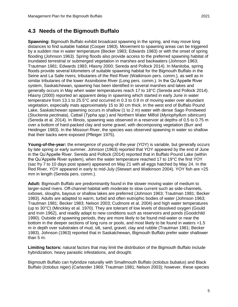### <span id="page-10-0"></span>**4.3 Needs of the Bigmouth Buffalo**

**Spawning:** Bigmouth Buffalo exhibit broadcast spawning in the spring, and may move long distances to find suitable habitat (Cooper 1983). Movement to spawning areas can be triggered by a sudden rise in water temperature (Becker 1983; Edwards 1983) or with the onset of spring flooding (Johnson 1963). Spring floods also provide access to the preferred spawning habitat of inundated terrestrial or submerged vegetation in marshes and backwaters (Johnson 1963; Trautman 1981; Edwards 1983; Hlasny 2000; Sereda and Pollock 2014). In Manitoba, spring floods provide several kilometers of suitable spawning habitat for the Bigmouth Buffalo in the Seine and La Salle rivers, tributaries of the Red River (Watkinson pers. comm.), as well as in similar tributaries of the lower Assiniboine River (Long pers. comm.). In the Qu'Appelle River system, Saskatchewan, spawning has been identified in several marshes and lakes and generally occurs in May when water temperatures reach 17 to 18°C (Sereda and Pollock 2014). Hlasny (2000) reported an apparent delay in spawning which started in early June in water temperature from 13.1 to 25.5°C and occurred in 0.3 to 0.9 m of moving water over abundant vegetation, especially mats approximately 15 to 30 cm thick. In the west end of Buffalo Pound Lake, Saskatchewan spawning occurs in shallow (1 to 2 m) water with dense Sago Pondweed (*Stuckenia pectinata*), Cattail (*Typha spp.*) and Northern Water Milfoil (*Myriophyllum sibiricum*) (Sereda et al. 2014). In Illinois, spawning was observed in a reservoir at depths of 0.5 to 0.75 m over a bottom of hard-packed clay and some gravel, with decomposing vegetation (Burr and Heidinger 1983). In the Missouri River, the species was observed spawning in water so shallow that their backs were exposed (Pfleiger 1975).

**Young-of-the-year:** the emergence of young-of-the-year (YOY) is variable, but generally occurs by late spring or early summer. Johnson (1963) reported that YOY appeared by the end of June in the Qu'Appelle River. Sereda and Pollock (2014) reported that in Buffalo Pound Lake (within the Qu'Appelle River system), when the water temperature reached 17 to 19°C the first YOY (sac fry 7 to 10 days post spawn) appeared on May 21 with all eggs hatched by May 24. In the Red River, YOY appeared in early to mid-July (Stewart and Watkinson 2004). YOY fish are >25 mm in length (Sereda pers. comm.).

**Adult:** Bigmouth Buffalo are predominantly found in the slower moving water of medium to larger-sized rivers. Off-channel habitat with moderate to slow current such as side-channels, oxbows, sloughs, bayous or shallow lakes are preferred (Johnson 1963; Trautman 1981; Becker 1983). Adults are adapted to warm, turbid and often eutrophic bodies of water (Johnson 1963; Trautman 1981; Becker 1983; Nelson 2003; Cudmore et al. 2004) and high water temperatures (up to 30°C) (Minckley et al. 1970). They are tolerant of low levels of dissolved oxygen (Gould and Irvin 1962), and readily adapt to new conditions such as reservoirs and ponds (Goodchild 1990). Outside of spawning periods, they are more likely to be found mid-water or near the bottom in the deeper sections of long runs or pools, and most likely to be found in waters >1.5 m in depth over substrates of mud, silt, sand, gravel, clay and rubble (Trautman 1981; Becker 1983). Johnson (1963) reported that in Saskatchewan, Bigmouth Buffalo prefer water shallower than 5 m.

**Limiting factors:** natural factors that may limit the distribution of the Bigmouth Buffalo include hybridization, heavy parasitic infestations, and drought.

Bigmouth Buffalo can hybridize naturally with Smallmouth Buffalo (*Ictiobus bubalus*) and Black Buffalo (*Ictiobus niger*) (Carlander 1969; Trautman 1981; Nelson 2003); however, these species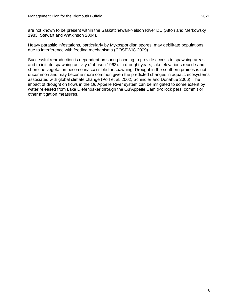Heavy parasitic infestations, particularly by Myxosporidian spores, may debilitate populations due to interference with feeding mechanisms (COSEWIC 2009).

Successful reproduction is dependent on spring flooding to provide access to spawning areas and to initiate spawning activity (Johnson 1963). In drought years, lake elevations recede and shoreline vegetation become inaccessible for spawning. Drought in the southern prairies is not uncommon and may become more common given the predicted changes in aquatic ecosystems associated with global climate change (Poff et al. 2002; Schindler and Donahue 2006). The impact of drought on flows in the Qu'Appelle River system can be mitigated to some extent by water released from Lake Diefenbaker through the Qu'Appelle Dam (Pollock pers. comm.) or other mitigation measures.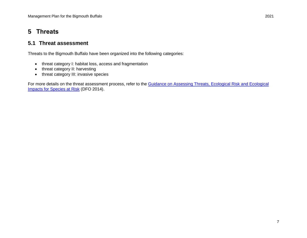# **5 Threats**

### **5.1 Threat assessment**

Threats to the Bigmouth Buffalo have been organized into the following categories:

- threat category I: habitat loss, access and fragmentation
- threat category II: harvesting
- threat category III: invasive species

<span id="page-12-1"></span><span id="page-12-0"></span>For more details on the threat assessment process, refer to the Guidance on Assessing Threats, Ecological Risk and Ecological [Impacts for Species at Risk](http://www.dfo-mpo.gc.ca/csas-sccs/Publications/SAR-AS/2014/2014_013-eng.html) (DFO 2014).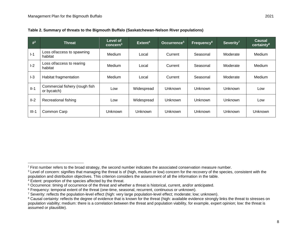$I-1$ 

I-2

II-1

 $\overline{a}$ 

| $#^2$  | <b>Threat</b>                                 | Level of<br>concern <sup>3</sup> | Extent <sup>4</sup> | Occurrence <sup>5</sup> | Frequency <sup>6</sup> | Severity <sup>7</sup> | <b>Causal</b><br>certainty <sup>8</sup> |
|--------|-----------------------------------------------|----------------------------------|---------------------|-------------------------|------------------------|-----------------------|-----------------------------------------|
| $l-1$  | Loss of/access to spawning<br>habitat         | Medium                           | Local               | Current                 | Seasonal               | Moderate              | Medium                                  |
| $-2$   | Loss of/access to rearing<br>habitat          | Medium                           | Local               | Current                 | Seasonal               | Moderate              | Medium                                  |
| $-3$   | Habitat fragmentation                         | Medium                           | Local               | Current                 | Seasonal               | Moderate              | Medium                                  |
| $II-1$ | Commercial fishery (rough fish<br>or bycatch) | Low                              | Widespread          | Unknown                 | Unknown                | <b>Unknown</b>        | Low                                     |
| II-2   | <b>Recreational fishing</b>                   | Low                              | Widespread          | Unknown                 | Unknown                | Unknown               | Low                                     |

|  | Table 2. Summary of threats to the Bigmouth Buffalo (Saskatchewan-Nelson River populations) |  |
|--|---------------------------------------------------------------------------------------------|--|
|  |                                                                                             |  |
|  |                                                                                             |  |

III-1 Common Carp Unknown Unknown Unknown Unknown Unknown Unknown

 $2$  First number refers to the broad strategy, the second number indicates the associated conservation measure number.

<sup>&</sup>lt;sup>3</sup> Level of concern: signifies that managing the threat is of (high, medium or low) concern for the recovery of the species, consistent with the population and distribution objectives. This criterion considers the assessment of all the information in the table.

<sup>&</sup>lt;sup>4</sup> Extent: proportion of the species affected by the threat.

<sup>5</sup> Occurrence: timing of occurrence of the threat and whether a threat is historical, current, and/or anticipated.

<sup>6</sup> Frequency: temporal extent of the threat (one-time, seasonal, recurrent, continuous or unknown).

<sup>&</sup>lt;sup>7</sup> Severity: reflects the population-level effect (high: very large population-level effect; moderate; low; unknown).

<sup>&</sup>lt;sup>8</sup> Causal certainty: reflects the degree of evidence that is known for the threat (high: available evidence strongly links the threat to stresses on population viability; medium: there is a correlation between the threat and population viability, for example, expert opinion; low: the threat is assumed or plausible).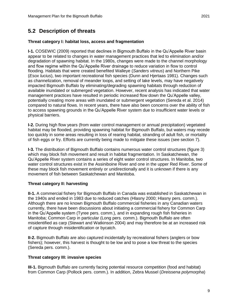### <span id="page-14-0"></span>**5.2 Description of threats**

#### **Threat category I: habitat loss, access and fragmentation**

**I-1.** COSEWIC (2009) reported that declines in Bigmouth Buffalo in the Qu'Appelle River basin appear to be related to changes in water management practices that led to elimination and/or degradation of spawning habitat. In the 1980s, changes were made to the channel morphology and flow regime within the Qu'Appelle River drainage to reduce variation in flow to control flooding. Habitats that were created benefited Walleye (*Sanders vitreus*) and Northern Pike (*Esox lucius*), two important recreational fish species (Dunn and Hjertaas 1981). Changes such as channelization, removal of meander loops, and setting of lake levels, may have negatively impacted Bigmouth Buffalo by eliminating/degrading spawning habitats through reduction of available inundated or submerged vegetation. However, recent analysis has indicated that water management practices have resulted in periodic increased flow down the Qu'Appelle valley, potentially creating more areas with inundated or submergent vegetation (Sereda et al. 2014) compared to natural flows. In recent years, there have also been concerns over the ability of fish to access spawning grounds in the Qu'Appelle River system due to insufficient water levels or physical barriers.

**I-2.** During high flow years (from water control management or annual precipitation) vegetated habitat may be flooded, providing spawning habitat for Bigmouth Buffalo, but waters may recede too quickly in some areas resulting in loss of rearing habitat, stranding of adult fish, or mortality of fish eggs or fry. Efforts are currently being made to mitigate these issues (see section 7).

**I-3.** The distribution of Bigmouth Buffalo contains numerous water control structures (figure 3) which may block fish movement and result in habitat fragmentation. In Saskatchewan, the Qu'Appelle River system contains a series of eight water control structures. In Manitoba, two water control structures exist in the Assiniboine River and one in the upper Red River. Some of these may block fish movement entirely or unidirectionally and it is unknown if there is any movement of fish between Saskatchewan and Manitoba.

#### **Threat category II: harvesting**

**II-1.** A commercial fishery for Bigmouth Buffalo in Canada was established in Saskatchewan in the 1940s and ended in 1983 due to reduced catches (Hlasny 2000; Hlasny pers. comm.). Although there are no known Bigmouth Buffalo commercial fisheries in any Canadian waters currently, there have been discussions about initiating a commercial fishery for Common Carp in the Qu'Appelle system (Tyree pers. comm.), and in expanding rough fish fisheries in Manitoba; Common Carp in particular (Long pers. comm.). Bigmouth Buffalo are often misidentified as carp (Stewart and Watkinson 2004) and may therefore be at an increased risk of capture through misidentification or bycatch.

**II-2.** Bigmouth Buffalo are also captured incidentally by recreational fishers (anglers or bow fishers); however, this harvest is thought to be low and to pose a low threat to the species (Sereda pers. comm.).

#### **Threat category III: invasive species**

**III-1.** Bigmouth Buffalo are currently facing potential resource competition (food and habitat) from Common Carp (Pollock pers. comm.). In addition, Zebra Mussel (*Dreissena polymorpha*)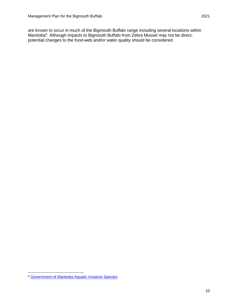are known to occur in much of the Bigmouth Buffalo range including several locations within Manitoba<sup>9</sup>. Although impacts to Bigmouth Buffalo from Zebra Mussel may not be direct, potential changes to the food-web and/or water quality should be considered.

 $\overline{a}$ <sup>9</sup> [Government of Manitoba Aquatic Invasive Species](https://www.gov.mb.ca/sd/environment_and_biodiversity/invasive_species/fish_and_wildlife/index.html)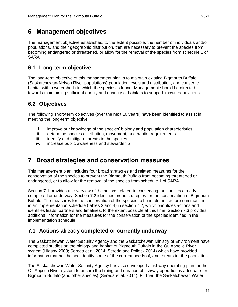<span id="page-16-0"></span>The management objective establishes, to the extent possible, the number of individuals and/or populations, and their geographic distribution, that are necessary to prevent the species from becoming endangered or threatened, or allow for the removal of the species from schedule 1 of SARA.

### <span id="page-16-1"></span>**6.1 Long-term objective**

The long-term objective of this management plan is to maintain existing Bigmouth Buffalo (Saskatchewan-Nelson River populations) population levels and distribution, and conserve habitat within watersheds in which the species is found. Management should be directed towards maintaining sufficient quality and quantity of habitats to support known populations.

### <span id="page-16-2"></span>**6.2 Objectives**

The following short-term objectives (over the next 10 years) have been identified to assist in meeting the long-term objective:

- i. improve our knowledge of the species' biology and population characteristics
- ii. determine species distribution, movement, and habitat requirements
- iii. identify and mitigate threats to the species
- iv. increase public awareness and stewardship

# <span id="page-16-3"></span>**7 Broad strategies and conservation measures**

This management plan includes four broad strategies and related measures for the conservation of the species to prevent the Bigmouth Buffalo from becoming threatened or endangered, or to allow for the removal of the species from schedule 1 of SARA.

Section 7.1 provides an overview of the actions related to conserving the species already completed or underway. Section 7.2 identifies broad strategies for the conservation of Bigmouth Buffalo. The measures for the conservation of the species to be implemented are summarized in an implementation schedule (tables 3 and 4) in section 7.2, which prioritizes actions and identifies leads, partners and timelines, to the extent possible at this time. Section 7.3 provides additional information for the measures for the conservation of the species identified in the implementation schedule.

### <span id="page-16-4"></span>**7.1 Actions already completed or currently underway**

The Saskatchewan Water Security Agency and the Saskatchewan Ministry of Environment have completed studies on the biology and habitat of Bigmouth Buffalo in the Qu'Appelle River system (Hlasny 2000; Sereda et al. 2014; Sereda and Pollock 2014) which have provided information that has helped identify some of the current needs of, and threats to, the population.

The Saskatchewan Water Security Agency has also developed a fishway operating plan for the Qu'Appelle River system to ensure the timing and duration of fishway operation is adequate for Bigmouth Buffalo (and other species) (Sereda et al. 2014). Further, the Saskatchewan Water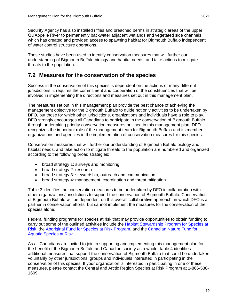Security Agency has also installed riffles and breached berms in strategic areas of the upper Qu'Appelle River to permanently backwater adjacent wetlands and vegetated side channels, which has created and provided access to spawning habitat for Bigmouth Buffalo independent of water control structure operations.

These studies have been used to identify conservation measures that will further our understanding of Bigmouth Buffalo biology and habitat needs, and take actions to mitigate threats to the population.

### <span id="page-17-0"></span>**7.2 Measures for the conservation of the species**

Success in the conservation of this species is dependent on the actions of many different jurisdictions; it requires the commitment and cooperation of the constituencies that will be involved in implementing the directions and measures set out in this management plan.

The measures set out in this management plan provide the best chance of achieving the management objective for the Bigmouth Buffalo to guide not only activities to be undertaken by DFO, but those for which other jurisdictions, organizations and individuals have a role to play. DFO strongly encourages all Canadians to participate in the conservation of Bigmouth Buffalo through undertaking priority conservation measures outlined in this management plan. DFO recognizes the important role of the management team for Bigmouth Buffalo and its member organizations and agencies in the implementation of conservation measures for this species.

Conservation measures that will further our understanding of Bigmouth Buffalo biology and habitat needs, and take action to mitigate threats to the population are numbered and organized according to the following broad strategies:

- broad strategy 1: surveys and monitoring
- broad strategy 2: research
- broad strategy 3: stewardship, outreach and communication
- broad strategy 4: management, coordination and threat mitigation

Table 3 identifies the conservation measures to be undertaken by DFO in collaboration with other organizations/jurisdictions to support the conservation of Bigmouth Buffalo. Conservation of Bigmouth Buffalo will be dependent on this overall collaborative approach, in which DFO is a partner in conservation efforts, but cannot implement the measures for the conservation of the species alone.

Federal funding programs for species at risk that may provide opportunities to obtain funding to carry out some of the outlined activities include the [Habitat Stewardship Program for Species at](https://www.canada.ca/en/environment-climate-change/services/environmental-funding/programs/habitat-stewardship-species-at-risk.html)  [Risk,](https://www.canada.ca/en/environment-climate-change/services/environmental-funding/programs/habitat-stewardship-species-at-risk.html) the [Aboriginal Fund for Species at Risk Program,](https://www.canada.ca/en/environment-climate-change/services/environmental-funding/programs/aboriginal-fund-species-risk.html) and the Canadian Nature Fund for [Aquatic Species at Risk.](https://www.dfo-mpo.gc.ca/species-especes/sara-lep/cnfasar-fnceap/index-eng.html)

As all Canadians are invited to join in supporting and implementing this management plan for the benefit of the Bigmouth Buffalo and Canadian society as a whole, table 4 identifies additional measures that support the conservation of Bigmouth Buffalo that could be undertaken voluntarily by other jurisdictions, groups and individuals interested in participating in the conservation of this species. If your organization is interested in participating in one of these measures, please contact the Central and Arctic Region Species at Risk Program at 1-866-538- 1609.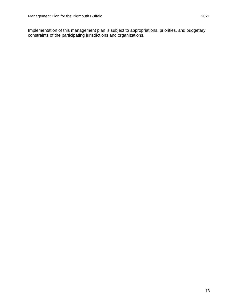Implementation of this management plan is subject to appropriations, priorities, and budgetary constraints of the participating jurisdictions and organizations.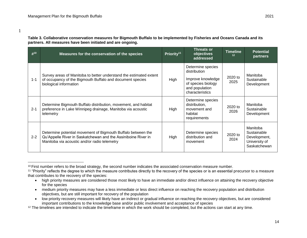1

 $\overline{a}$ 

**Table 3. Collaborative conservation measures for Bigmouth Buffalo to be implemented by Fisheries and Oceans Canada and its partners. All measures have been initiated and are ongoing.**

<span id="page-19-0"></span>

| #10     | Measures for the conservation of the species                                                                                                                                  | Priority <sup>11</sup> | <b>Threats or</b><br>objectives<br>addressed                                                                      | <b>Timeline</b><br>12 <sup>2</sup> | <b>Potential</b><br>partners                                             |
|---------|-------------------------------------------------------------------------------------------------------------------------------------------------------------------------------|------------------------|-------------------------------------------------------------------------------------------------------------------|------------------------------------|--------------------------------------------------------------------------|
| $1 - 1$ | Survey areas of Manitoba to better understand the estimated extent<br>of occupancy of the Bigmouth Buffalo and document species<br>biological information                     | High                   | Determine species<br>distribution<br>Improve knowledge<br>of species biology<br>and population<br>characteristics | 2020 to<br>2025                    | Manitoba<br>Sustainable<br>Development                                   |
| $2 - 1$ | Determine Bigmouth Buffalo distribution, movement, and habitat<br>preference in Lake Winnipeg drainage, Manitoba via acoustic<br>telemetry                                    | High                   | Determine species<br>distribution,<br>movement and<br>habitat<br>requirements                                     | 2020 to<br>2026                    | Manitoba<br>Sustainable<br>Development                                   |
| $2 - 2$ | Determine potential movement of Bigmouth Buffalo between the<br>Qu'Appelle River in Saskatchewan and the Assiniboine River in<br>Manitoba via acoustic and/or radio telemetry | High                   | Determine species<br>distribution and<br>movement                                                                 | 2020 to<br>2024                    | Manitoba<br>Sustainable<br>Development,<br>University of<br>Saskatchewan |

 low priority recovery measures will likely have an indirect or gradual influence on reaching the recovery objectives, but are considered important contributions to the knowledge base and/or public involvement and acceptance of species

<sup>&</sup>lt;sup>10</sup> First number refers to the broad strategy, the second number indicates the associated conservation measure number.

<sup>&</sup>lt;sup>11</sup> "Priority" reflects the degree to which the measure contributes directly to the recovery of the species or is an essential precursor to a measure that contributes to the recovery of the species:

high priority measures are considered those most likely to have an immediate and/or direct influence on attaining the recovery objective for the species

medium priority measures may have a less immediate or less direct influence on reaching the recovery population and distribution objectives, but are still important for recovery of the population

<sup>&</sup>lt;sup>12</sup> The timelines are intended to indicate the timeframe in which the work should be completed, but the actions can start at any time.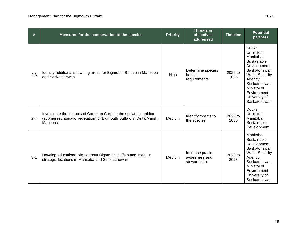| #       | Measures for the conservation of the species                                                                                                     | <b>Priority</b> | <b>Threats or</b><br>objectives<br>addressed    | <b>Timeline</b> | <b>Potential</b><br>partners                                                                                                                                                                              |
|---------|--------------------------------------------------------------------------------------------------------------------------------------------------|-----------------|-------------------------------------------------|-----------------|-----------------------------------------------------------------------------------------------------------------------------------------------------------------------------------------------------------|
| $2 - 3$ | Identify additional spawning areas for Bigmouth Buffalo in Manitoba<br>and Saskatchewan                                                          | High            | Determine species<br>habitat<br>requirements    | 2020 to<br>2025 | <b>Ducks</b><br>Unlimited,<br>Manitoba<br>Sustainable<br>Development,<br>Saskatchewan<br><b>Water Security</b><br>Agency,<br>Saskatchewan<br>Ministry of<br>Environment.<br>University of<br>Saskatchewan |
| $2 - 4$ | Investigate the impacts of Common Carp on the spawning habitat<br>(submersed aquatic vegetation) of Bigmouth Buffalo in Delta Marsh,<br>Manitoba | Medium          | Identify threats to<br>the species              | 2020 to<br>2030 | <b>Ducks</b><br>Unlimited,<br>Manitoba<br>Sustainable<br>Development                                                                                                                                      |
| $3 - 1$ | Develop educational signs about Bigmouth Buffalo and install in<br>strategic locations in Manitoba and Saskatchewan                              | Medium          | Increase public<br>awareness and<br>stewardship | 2020 to<br>2023 | Manitoba<br>Sustainable<br>Development,<br>Saskatchewan<br><b>Water Security</b><br>Agency,<br>Saskatchewan<br>Ministry of<br>Environment,<br>University of<br>Saskatchewan                               |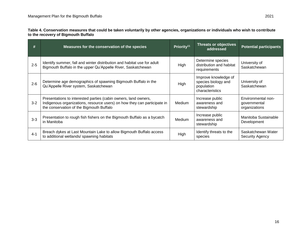**Table 4. Conservation measures that could be taken voluntarily by other agencies, organizations or individuals who wish to contribute to the recovery of Bigmouth Buffalo**

| #       | Measures for the conservation of the species                                                                                                                                            | Priority <sup>11</sup> | <b>Threats or objectives</b><br>addressed                                    | <b>Potential participants</b>                       |
|---------|-----------------------------------------------------------------------------------------------------------------------------------------------------------------------------------------|------------------------|------------------------------------------------------------------------------|-----------------------------------------------------|
| $2 - 5$ | Identify summer, fall and winter distribution and habitat use for adult<br>Bigmouth Buffalo in the upper Qu'Appelle River, Saskatchewan                                                 | High                   | Determine species<br>distribution and habitat<br>requirements                | University of<br>Saskatchewan                       |
| $2 - 6$ | Determine age demographics of spawning Bigmouth Buffalo in the<br>Qu'Appelle River system, Saskatchewan                                                                                 | High                   | Improve knowledge of<br>species biology and<br>population<br>characteristics | University of<br>Saskatchewan                       |
| $3 - 2$ | Presentations to interested parties (cabin owners, land owners,<br>Indigenous organizations, resource users) on how they can participate in<br>the conservation of the Bigmouth Buffalo | Medium                 | Increase public<br>awareness and<br>stewardship                              | Environmental non-<br>governmental<br>organizations |
| $3 - 3$ | Presentation to rough fish fishers on the Bigmouth Buffalo as a bycatch<br>in Manitoba                                                                                                  | Medium                 | Increase public<br>awareness and<br>stewardship                              | Manitoba Sustainable<br>Development                 |
| $4 - 1$ | Breach dykes at Last Mountain Lake to allow Bigmouth Buffalo access<br>to additional wetlands/spawning habitats                                                                         | High                   | Identify threats to the<br>species                                           | Saskatchewan Water<br><b>Security Agency</b>        |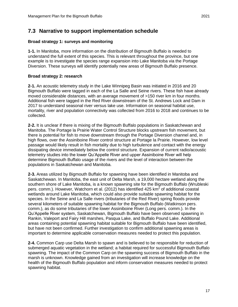### <span id="page-22-0"></span>**7.3 Narrative to support implementation schedule**

#### **Broad strategy 1: surveys and monitoring**

**1-1.** In Manitoba, more information on the distribution of Bigmouth Buffalo is needed to understand the full extent of this species. This is relevant throughout the province, but one example is to investigate the species range expansion into Lake Manitoba via the Portage Diversion. These surveys will identify potentially new areas of Bigmouth Buffalo presence.

#### **Broad strategy 2: research**

**2-1.** An acoustic telemetry study in the Lake Winnipeg Basin was initiated in 2016 and 20 Bigmouth Buffalo were tagged in each of the La Salle and Seine rivers. These fish have already moved considerable distances, with an average movement of >150 river km in four months. Additional fish were tagged in the Red River downstream of the St. Andrews Lock and Dam in 2017 to understand seasonal river versus lake use. Information on seasonal habitat use, mortality, river and population connectivity was collected from 2016 to 2018 and continues to be collected.

**2-2.** It is unclear if there is mixing of the Bigmouth Buffalo populations in Saskatchewan and Manitoba. The Portage la Prairie Water Control Structure blocks upstream fish movement, but there is potential for fish to move downstream through the Portage Diversion channel and, in high flows, over the Assiniboine River control structure at Portage la Prairie. However, low level passage would likely result in fish mortality due to high turbulence and contact with the energy dissipating device immediately below the control structure. Expansion of current radio/acoustic telemetry studies into the lower Qu'Appelle River and upper Assiniboine River will help determine Bigmouth Buffalo usage of the rivers and the level of interaction between the populations in Saskatchewan and Manitoba.

**2-3.** Areas utilized by Bigmouth Buffalo for spawning have been identified in Manitoba and Saskatchewan. In Manitoba, the east unit of Delta Marsh, a 19,000 hectare wetland along the southern shore of Lake Manitoba, is a known spawning site for the Bigmouth Buffalo (Wrubleski pers. comm.). However, Watchorn et al. (2012) has identified 425  $km^2$  of additional coastal wetlands around Lake Manitoba, which could also provide suitable spawning habitat for the species. In the Seine and La Salle rivers (tributaries of the Red River) spring floods provide several kilometers of suitable spawning habitat for the Bigmouth Buffalo (Watkinson pers. comm.), as do some tributaries of the lower Assiniboine River (Long pers. comm.). In the Qu'Appelle River system, Saskatchewan, Bigmouth Buffalo have been observed spawning in Rankin, Valeport and Fairy Hill marshes, Pasqua Lake, and Buffalo Pound Lake. Additional areas containing potential spawning habitat suitable for Bigmouth Buffalo have been identified, but have not been confirmed. Further investigation to confirm additional spawning areas is important to determine applicable conservation measures needed to protect this population.

**2-4.** Common Carp use Delta Marsh to spawn and is believed to be responsible for reduction of submerged aquatic vegetation in the wetland; a habitat required for successful Bigmouth Buffalo spawning. The impact of the Common Carp on the spawning success of Bigmouth Buffalo in the marsh is unknown. Knowledge gained from an investigation will increase knowledge on the health of the Bigmouth Buffalo population and inform conservation measures needed to protect spawning habitat.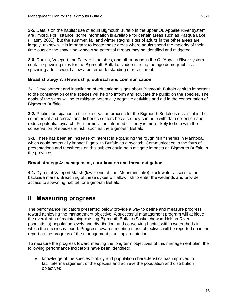**2-5.** Details on the habitat use of adult Bigmouth Buffalo in the upper Qu'Appelle River system are limited. For instance, some information is available for certain areas such as Pasqua Lake (Hlasny 2000), but the summer, fall and winter staging sites of adults in the other areas are largely unknown. It is important to locate these areas where adults spend the majority of their time outside the spawning window so potential threats may be identified and mitigated.

**2-6.** Rankin, Valeport and Fairy Hill marshes, and other areas in the Qu'Appelle River system contain spawning sites for the Bigmouth Buffalo. Understanding the age demographics of spawning adults would allow a better understanding of recruitment.

#### **Broad strategy 3: stewardship, outreach and communication**

**3-1.** Development and installation of educational signs about Bigmouth Buffalo at sites important to the conservation of the species will help to inform and educate the public on the species. The goals of the signs will be to mitigate potentially negative activities and aid in the conservation of Bigmouth Buffalo.

**3-2.** Public participation in the conservation process for the Bigmouth Buffalo is essential in the commercial and recreational fisheries sectors because they can help with data collection and reduce potential bycatch. Furthermore, an informed citizenry is more likely to help with the conservation of species at risk, such as the Bigmouth Buffalo.

**3-3.** There has been an increase of interest in expanding the rough fish fisheries in Manitoba, which could potentially impact Bigmouth Buffalo as a bycatch. Communication in the form of presentations and factsheets on this subject could help mitigate impacts on Bigmouth Buffalo in the province.

#### **Broad strategy 4: management, coordination and threat mitigation**

**4-1.** Dykes at Valeport Marsh (lower end of Last Mountain Lake) block water access to the backside marsh. Breaching of these dykes will allow fish to enter the wetlands and provide access to spawning habitat for Bigmouth Buffalo.

### <span id="page-23-0"></span>**8 Measuring progress**

The performance indicators presented below provide a way to define and measure progress toward achieving the management objective. A successful management program will achieve the overall aim of maintaining existing Bigmouth Buffalo (Saskatchewan-Nelson River populations) population levels and distribution, and conserving habitat within watersheds in which the species is found. Progress towards meeting these objectives will be reported on in the report on the progress of the management plan implementation.

To measure the progress toward meeting the long term objectives of this management plan, the following performance indicators have been identified:

 knowledge of the species biology and population characteristics has improved to facilitate management of the species and achieve the population and distribution objectives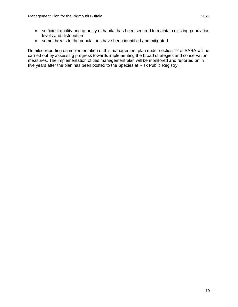some threats to the populations have been identified and mitigated

Detailed reporting on implementation of this management plan under section 72 of SARA will be carried out by assessing progress towards implementing the broad strategies and conservation measures. The implementation of this management plan will be monitored and reported on in five years after the plan has been posted to the Species at Risk Public Registry.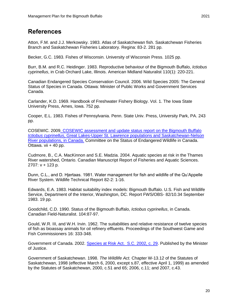### <span id="page-25-0"></span>**References**

Atton, F.M. and J.J. Merkowsky. 1983. Atlas of Saskatchewan fish. Saskatchewan Fisheries Branch and Saskatchewan Fisheries Laboratory. Regina: 83-2. 281 pp.

Becker, G.C. 1983. Fishes of Wisconsin. University of Wisconsin Press. 1025 pp.

Burr, B.M. and R.C. Heidinger. 1983. Reproductive behaviour of the Bigmouth Buffalo, *Ictiobus cyprinellus*, in Crab Orchard Lake, Illinois. American Midland Naturalist 110(1): 220-221.

Canadian Endangered Species Conservation Council. 2006. Wild Species 2005: The General Status of Species in Canada. Ottawa: Minister of Public Works and Government Services Canada.

Carlander, K.D. 1969. Handbook of Freshwater Fishery Biology. Vol. 1. The Iowa State University Press, Ames, Iowa. 752 pp.

Cooper, E.L. 1983. Fishes of Pennsylvania. Penn. State Univ. Press, University Park, PA. 243 pp.

COSEWIC. 200[9. COSEWIC assessment and update status report on the Bigmouth Buffalo](http://publications.gc.ca/collections/collection_2009/ec/CW69-14-577-2009E.pdf)  *Ictiobus cyprinellus*[, Great Lakes-Upper St. Lawrence populations and Saskatchewan-Nelson](http://publications.gc.ca/collections/collection_2009/ec/CW69-14-577-2009E.pdf)  [River populations, in Canada.](http://publications.gc.ca/collections/collection_2009/ec/CW69-14-577-2009E.pdf) Committee on the Status of Endangered Wildlife in Canada. Ottawa. vii + 40 pp.

Cudmore, B., C.A. MacKinnon and S.E. Madzia. 2004. Aquatic species at risk in the Thames River watershed, Ontario. Canadian Manuscript Report of Fisheries and Aquatic Sciences. 2707: v + 123 p.

Dunn, C.L., and D. Hjertaas. 1981. Water management for fish and wildlife of the Qu'Appelle River System. Wildlife Technical Report 82-2: 1-16.

Edwards, E.A. 1983. Habitat suitability index models: Bigmouth Buffalo. U.S. Fish and Wildlife Service, Department of the Interior, Washington, DC. Report FWS/OBS- 82/10.34 September 1983. 19 pp.

Goodchild, C.D. 1990. Status of the Bigmouth Buffalo, *Ictiobus cyprinellus*, in Canada. Canadian Field-Naturalist. 104:87-97.

Gould, W.R. III, and W.H. Irvin. 1962. The suitabilities and relative resistance of twelve species of fish as bioassay animals for oil refinery effluents. Proceedings of the Southwest Game and Fish Commissioners 16: 333-348.

Government of Canada. 2002. [Species at Risk Act. S.C. 2002, c. 29.](https://laws-lois.justice.gc.ca/eng/acts/S-15.3/) Published by the Minister of Justice.

Government of Saskatchewan. 1998. *The Wildlife Act.* Chapter W-13.12 of the Statutes of Saskatchewan, 1998 (effective March 6, 2000, except s.87, effective April 1, 1999) as amended by the Statutes of Saskatchewan, 2000, c.51 and 65; 2006, c.11; and 2007, c.43.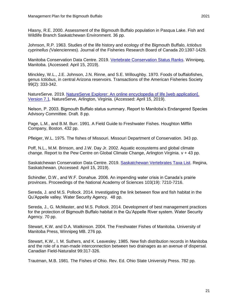Hlasny, R.E. 2000. Assessment of the Bigmouth Buffalo population in Pasqua Lake. Fish and Wildlife Branch Saskatchewan Environment. 36 pp.

Johnson, R.P. 1963. Studies of the life history and ecology of the Bigmouth Buffalo, *Ictiobus cyprinellus (*Valenciennes). Journal of the Fisheries Research Board of Canada 20:1397-1429.

Manitoba Conservation Data Centre. 2019. [Vertebrate Conservation Status Ranks.](https://www.gov.mb.ca/sd/environment_and_biodiversity/cdc/index.html) Winnipeg, Manitoba. (Accessed: April 15, 2019).

Minckley, W.L., J.E. Johnson, J.N. Rinne, and S.E. Willoughby. 1970. Foods of buffalofishes, genus *Ictiobus*, in central Arizona reservoirs. Transactions of the American Fisheries Society 99(2): 333-342.

NatureServe. 2019. [NatureServe Explorer: An online encyclopedia of life \[web application\].](http://explorer.natureserve.org/)  [Version 7.1](http://explorer.natureserve.org/)*.* NatureServe, Arlington, Virginia. (Accessed: April 15, 2019).

Nelson, P. 2003. Bigmouth Buffalo status summary. Report to Manitoba's Endangered Species Advisory Committee. Draft. 8 pp.

Page, L.M., and B.M. Burr. 1991. A Field Guide to Freshwater Fishes. Houghton Mifflin Company, Boston. 432 pp.

Pfleiger, W.L. 1975. The fishes of Missouri. Missouri Department of Conservation. 343 pp.

Poff, N.L., M.M. Brinson, and J.W. Day Jr. 2002. Aquatic ecosystems and global climate change. Report to the Pew Centre on Global Climate Change, Arlington Virginia. v + 43 pp.

Saskatchewan Conservation Data Centre. 2019. [Saskatchewan Vertebrates Taxa List.](http://biodiversity.sk.ca/SppList.htm) Regina, Saskatchewan. (Accessed: April 15, 2019).

Schindler, D.W., and W.F. Donahue. 2006. An impending water crisis in Canada's prairie provinces. Proceedings of the National Academy of Sciences 103(19): 7210-7216.

Sereda, J. and M.S. Pollock. 2014. Investigating the link between flow and fish habitat in the Qu'Appelle valley. Water Security Agency. 48 pp.

Sereda, J., G. McMaster, and M.S. Pollock. 2014. Development of best management practices for the protection of Bigmouth Buffalo habitat in the Qu'Appelle River system. Water Security Agency. 70 pp.

Stewart, K.W. and D.A. Watkinson. 2004. The Freshwater Fishes of Manitoba. University of Manitoba Press, Winnipeg MB. 276 pp.

Stewart, K.W., I. M. Suthers, and K. Leavesley. 1985. New fish distribution records in Manitoba and the role of a man-made interconnection between two drainages as an avenue of dispersal. Canadian Field-Naturalist 99:317-326.

Trautman, M.B. 1981. The Fishes of Ohio. Rev. Ed. Ohio State University Press. 782 pp.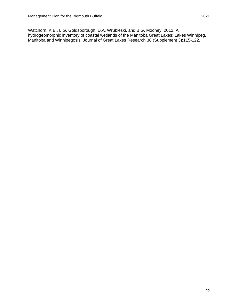Watchorn, K.E., L.G. Goldsborough, D.A. Wrubleski, and B.G. Mooney. 2012. A hydrogeomorphic inventory of coastal wetlands of the Manitoba Great Lakes: Lakes Winnipeg, Manitoba and Winnipegosis. Journal of Great Lakes Research 38 (Supplement 3):115-122.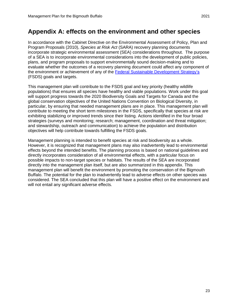<span id="page-28-0"></span>In accordance with the [Cabinet Directive on the Environmental Assessment of Policy, Plan and](https://www.canada.ca/en/impact-assessment-agency/programs/strategic-environmental-assessment/cabinet-directive-environmental-assessment-policy-plan-program-proposals.html)  [Program Proposals](https://www.canada.ca/en/impact-assessment-agency/programs/strategic-environmental-assessment/cabinet-directive-environmental-assessment-policy-plan-program-proposals.html) (2010), *Species at Risk Act* (SARA) recovery planning documents incorporate strategic environmental assessment (SEA) considerations throughout. The purpose of a SEA is to incorporate environmental considerations into the development of public policies, plans, and program proposals to support environmentally sound decision-making and to evaluate whether the outcomes of a recovery planning document could affect any component of the environment or achievement of any of the [Federal Sustainable Development Strategy'](http://fsds-sfdd.ca/index.html#/en/intro/)s (FSDS) goals and targets.

This management plan will contribute to the FSDS goal and key priority (healthy wildlife populations) that ensures all species have healthy and viable populations. Work under this goal will support progress towards the 2020 Biodiversity Goals and Targets for Canada and the global conservation objectives of the United Nations Convention on Biological Diversity, in particular, by ensuring that needed management plans are in place. This management plan will contribute to meeting the short term milestones in the FSDS, specifically that species at risk are exhibiting stabilizing or improved trends since their listing. Actions identified in the four broad strategies (surveys and monitoring; research; management, coordination and threat mitigation; and stewardship, outreach and communication) to achieve the population and distribution objectives will help contribute towards fulfilling the FSDS goals.

Management planning is intended to benefit species at risk and biodiversity as a whole. However, it is recognized that management plans may also inadvertently lead to environmental effects beyond the intended benefits. The planning process is based on national guidelines and directly incorporates consideration of all environmental effects, with a particular focus on possible impacts to non-target species or habitats. The results of the SEA are incorporated directly into the management plan itself, but are also summarized in this appendix. This management plan will benefit the environment by promoting the conservation of the Bigmouth Buffalo. The potential for the plan to inadvertently lead to adverse effects on other species was considered. The SEA concluded that this plan will have a positive effect on the environment and will not entail any significant adverse effects.